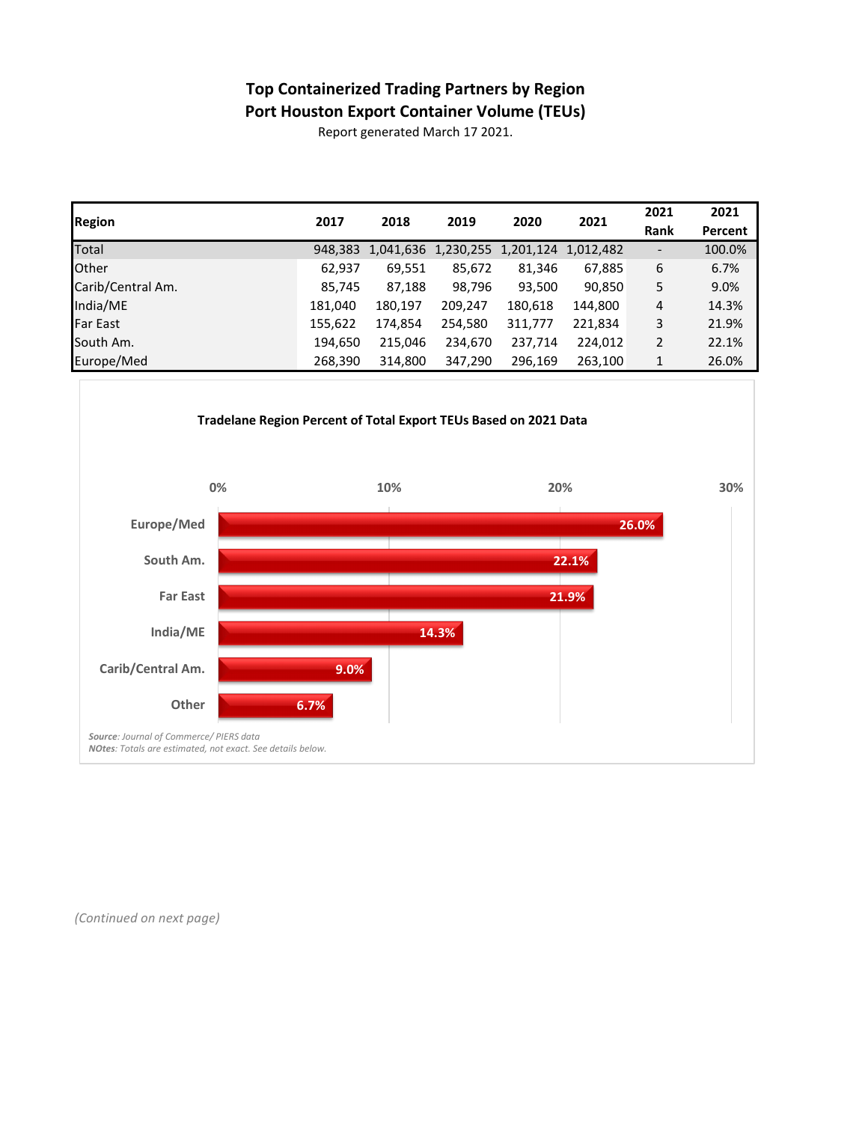## **Top Containerized Trading Partners by Region Port Houston Export Container Volume (TEUs)**

Report generated March 17 2021.

| <b>Region</b>     | 2017    | 2018    | 2019                          | 2020    | 2021      | 2021                     | 2021    |
|-------------------|---------|---------|-------------------------------|---------|-----------|--------------------------|---------|
|                   |         |         |                               |         |           | Rank                     | Percent |
| Total             | 948,383 |         | 1,041,636 1,230,255 1,201,124 |         | 1,012,482 | $\overline{\phantom{a}}$ | 100.0%  |
| <b>Other</b>      | 62,937  | 69,551  | 85,672                        | 81,346  | 67,885    | 6                        | 6.7%    |
| Carib/Central Am. | 85,745  | 87,188  | 98,796                        | 93,500  | 90,850    | 5                        | 9.0%    |
| India/ME          | 181,040 | 180,197 | 209,247                       | 180,618 | 144,800   | 4                        | 14.3%   |
| <b>Far East</b>   | 155,622 | 174,854 | 254,580                       | 311,777 | 221,834   | 3                        | 21.9%   |
| South Am.         | 194,650 | 215,046 | 234,670                       | 237,714 | 224,012   | $\overline{2}$           | 22.1%   |
| Europe/Med        | 268,390 | 314,800 | 347,290                       | 296,169 | 263,100   | 1                        | 26.0%   |



*(Continued on next page)*